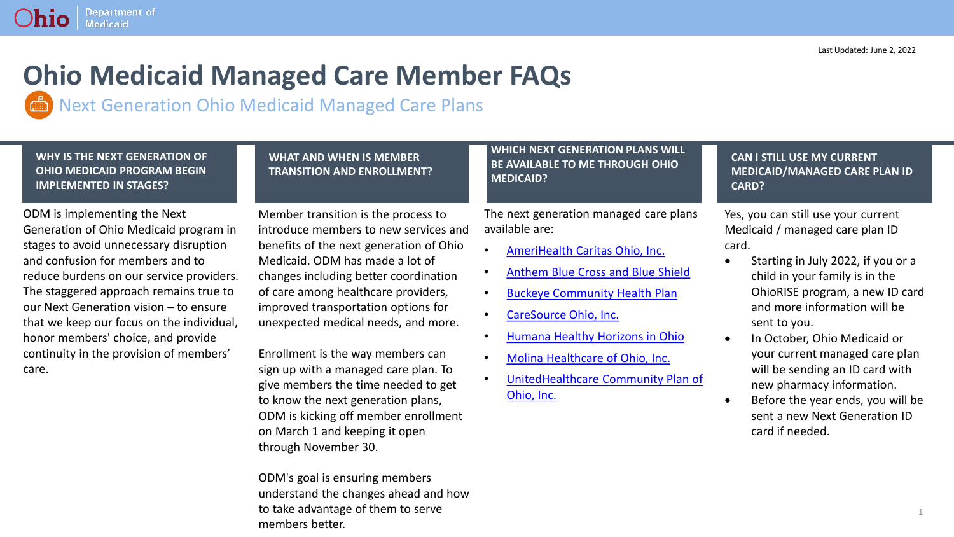## **Ohio Medicaid Managed Care Member FAQs**

Next Generation Ohio Medicaid Managed Care Plans

**WHY IS THE NEXT GENERATION OF OHIO MEDICAID PROGRAM BEGIN IMPLEMENTED IN STAGES?**

**Department of** 

**Medicaid** 

hio

ODM is implementing the Next Generation of Ohio Medicaid program in stages to avoid unnecessary disruption and confusion for members and to reduce burdens on our service providers. The staggered approach remains true to our Next Generation vision – to ensure that we keep our focus on the individual, honor members' choice, and provide continuity in the provision of members' care.

### **WHAT AND WHEN IS MEMBER TRANSITION AND ENROLLMENT?**

Member transition is the process to introduce members to new services and benefits of the next generation of Ohio Medicaid. ODM has made a lot of changes including better coordination of care among healthcare providers, improved transportation options for unexpected medical needs, and more.

Enrollment is the way members can sign up with a managed care plan. To give members the time needed to get to know the next generation plans, ODM is kicking off member enrollment on March 1 and keeping it open through November 30.

ODM's goal is ensuring members understand the changes ahead and how to take advantage of them to serve members better.

**WHICH NEXT GENERATION PLANS WILL BE AVAILABLE TO ME THROUGH OHIO MEDICAID?**

The next generation managed care plans available are:

- [AmeriHealth Caritas Ohio, Inc.](https://www.amerihealthcaritas.com/index.aspx)
- [Anthem Blue Cross and Blue Shield](https://www.anthem.com/medicaid/)
- [Buckeye Community Health Plan](https://www.buckeyehealthplan.com/choose-buckeye.html?utm_source=choosebuckeye.com&utm_medium=redirect&utm_campaign=Choose%20Buckeye)
- [CareSource Ohio, Inc.](https://www.caresource.com/oh/plans/medicaid/)
- [Humana Healthy Horizons in Ohio](https://www.humana.com/medicaid/ohio)
- [Molina Healthcare of Ohio, Inc.](https://www.meetmolina.com/oh-medicaid)
- [UnitedHealthcare Community Plan of](https://www.uhccommunityplan.com/oh)  Ohio, Inc.

**CAN I STILL USE MY CURRENT MEDICAID/MANAGED CARE PLAN ID CARD?**

Yes, you can still use your current Medicaid / managed care plan ID card.

- Starting in July 2022, if you or a child in your family is in the OhioRISE program, a new ID card and more information will be sent to you.
- In October, Ohio Medicaid or your current managed care plan will be sending an ID card with new pharmacy information.
- Before the year ends, you will be sent a new Next Generation ID card if needed.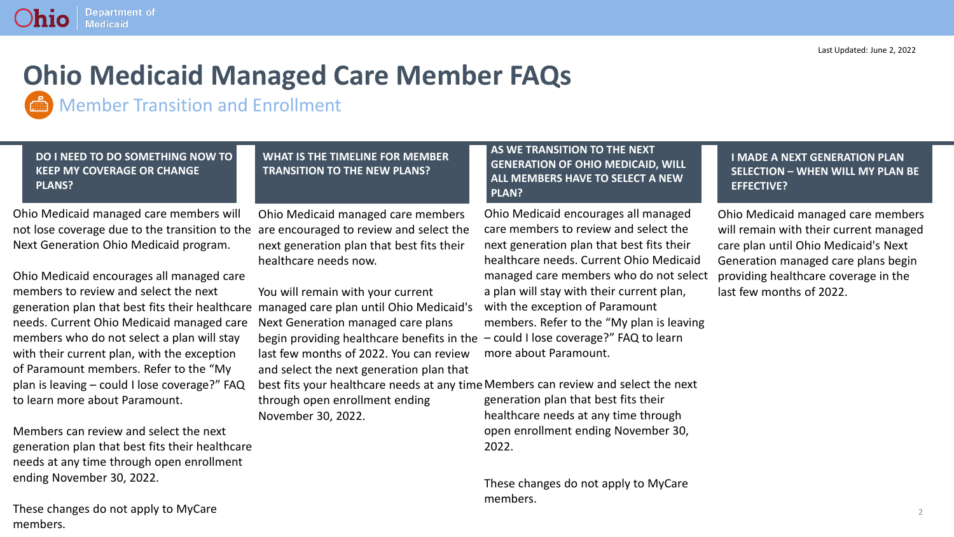#### **Department of** nio **Medicaid**

# **Ohio Medicaid Managed Care Member FAQs**

Member Transition and Enrollment

**DO I NEED TO DO SOMETHING NOW TO KEEP MY COVERAGE OR CHANGE PLANS?**

**WHAT IS THE TIMELINE FOR MEMBER TRANSITION TO THE NEW PLANS?**

Ohio Medicaid managed care members will not lose coverage due to the transition to the are encouraged to review and select the Next Generation Ohio Medicaid program.

Ohio Medicaid encourages all managed care members to review and select the next generation plan that best fits their healthcare managed care plan until Ohio Medicaid's needs. Current Ohio Medicaid managed care members who do not select a plan will stay with their current plan, with the exception of Paramount members. Refer to the "My plan is leaving – could I lose coverage?" FAQ to learn more about Paramount.

Members can review and select the next generation plan that best fits their healthcare needs at any time through open enrollment ending November 30, 2022.

These changes do not apply to MyCare members.

Ohio Medicaid managed care members next generation plan that best fits their healthcare needs now.

You will remain with your current Next Generation managed care plans begin providing healthcare benefits in the last few months of 2022. You can review and select the next generation plan that

best fits your healthcare needs at any time Members can review and select the next generation plan that best fits their healthcare needs at any time through through open enrollment ending November 30, 2022.

**AS WE TRANSITION TO THE NEXT GENERATION OF OHIO MEDICAID, WILL ALL MEMBERS HAVE TO SELECT A NEW PLAN?**

Ohio Medicaid encourages all managed care members to review and select the next generation plan that best fits their healthcare needs. Current Ohio Medicaid managed care members who do not select a plan will stay with their current plan, with the exception of Paramount members. Refer to the "My plan is leaving – could I lose coverage?" FAQ to learn more about Paramount.

open enrollment ending November 30, 2022.

These changes do not apply to MyCare members.

**I MADE A NEXT GENERATION PLAN SELECTION – WHEN WILL MY PLAN BE EFFECTIVE?**

Ohio Medicaid managed care members will remain with their current managed care plan until Ohio Medicaid's Next Generation managed care plans begin providing healthcare coverage in the last few months of 2022.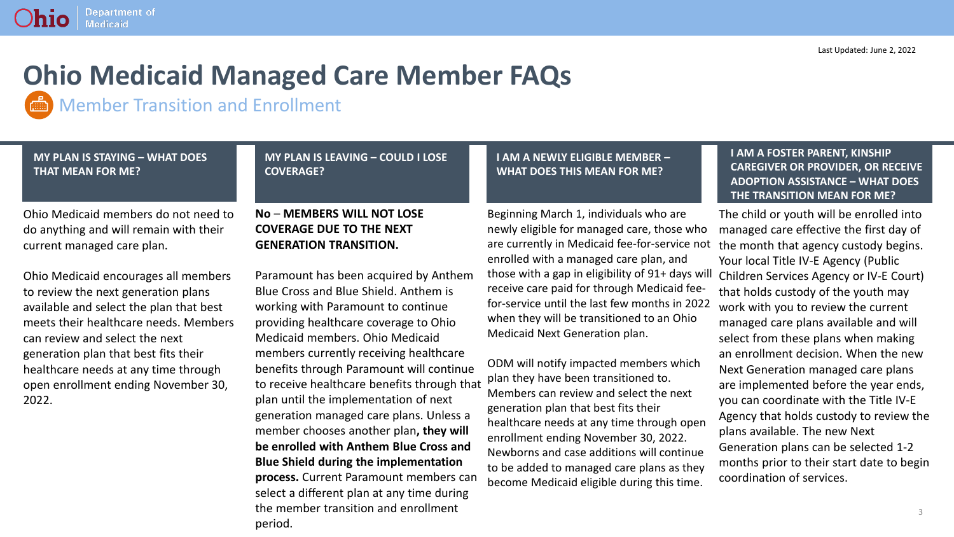#### **Department of** hio **Medicaid**

# **Ohio Medicaid Managed Care Member FAQs**

Member Transition and Enrollment

#### **MY PLAN IS STAYING – WHAT DOES THAT MEAN FOR ME?**

#### **MY PLAN IS LEAVING – COULD I LOSE COVERAGE?**

Ohio Medicaid members do not need to do anything and will remain with their current managed care plan.

Ohio Medicaid encourages all members to review the next generation plans available and select the plan that best meets their healthcare needs. Members can review and select the next generation plan that best fits their healthcare needs at any time through open enrollment ending November 30, 2022.

### **No** – **MEMBERS WILL NOT LOSE COVERAGE DUE TO THE NEXT GENERATION TRANSITION.**

Paramount has been acquired by Anthem Blue Cross and Blue Shield. Anthem is working with Paramount to continue providing healthcare coverage to Ohio Medicaid members. Ohio Medicaid members currently receiving healthcare benefits through Paramount will continue to receive healthcare benefits through that plan until the implementation of next generation managed care plans. Unless a member chooses another plan**, they will be enrolled with Anthem Blue Cross and Blue Shield during the implementation process.** Current Paramount members can select a different plan at any time during the member transition and enrollment period.

### **I AM A NEWLY ELIGIBLE MEMBER – WHAT DOES THIS MEAN FOR ME?**

Beginning March 1, individuals who are newly eligible for managed care, those who are currently in Medicaid fee-for-service not enrolled with a managed care plan, and those with a gap in eligibility of 91+ days will receive care paid for through Medicaid feefor-service until the last few months in 2022 when they will be transitioned to an Ohio Medicaid Next Generation plan.

ODM will notify impacted members which plan they have been transitioned to. Members can review and select the next generation plan that best fits their healthcare needs at any time through open enrollment ending November 30, 2022. Newborns and case additions will continue to be added to managed care plans as they become Medicaid eligible during this time.

### **I AM A FOSTER PARENT, KINSHIP CAREGIVER OR PROVIDER, OR RECEIVE ADOPTION ASSISTANCE – WHAT DOES THE TRANSITION MEAN FOR ME?**

The child or youth will be enrolled into managed care effective the first day of the month that agency custody begins. Your local Title IV-E Agency (Public Children Services Agency or IV-E Court) that holds custody of the youth may work with you to review the current managed care plans available and will select from these plans when making an enrollment decision. When the new Next Generation managed care plans are implemented before the year ends, you can coordinate with the Title IV-E Agency that holds custody to review the plans available. The new Next Generation plans can be selected 1-2 months prior to their start date to begin coordination of services.